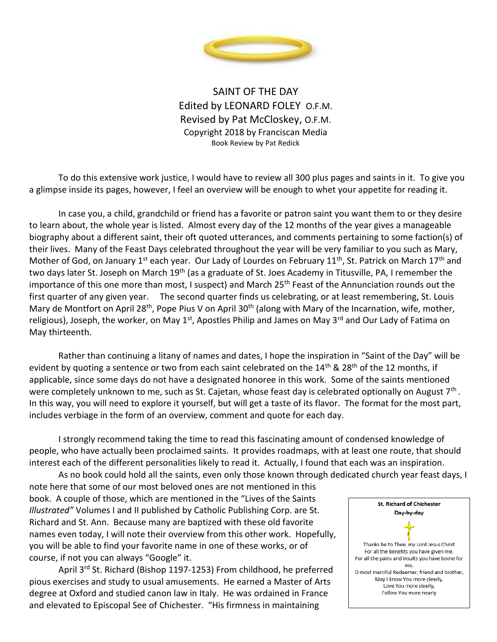

SAINT OF THE DAY Edited by LEONARD FOLEY O.F.M. Revised by Pat McCloskey, O.F.M. Copyright 2018 by Franciscan Media Book Review by Pat Redick

To do this extensive work justice, I would have to review all 300 plus pages and saints in it. To give you a glimpse inside its pages, however, I feel an overview will be enough to whet your appetite for reading it.

In case you, a child, grandchild or friend has a favorite or patron saint you want them to or they desire to learn about, the whole year is listed. Almost every day of the 12 months of the year gives a manageable biography about a different saint, their oft quoted utterances, and comments pertaining to some faction(s) of their lives. Many of the Feast Days celebrated throughout the year will be very familiar to you such as Mary, Mother of God, on January 1<sup>st</sup> each year. Our Lady of Lourdes on February 11<sup>th</sup>, St. Patrick on March 17<sup>th</sup> and two days later St. Joseph on March 19<sup>th</sup> (as a graduate of St. Joes Academy in Titusville, PA, I remember the importance of this one more than most, I suspect) and March 25<sup>th</sup> Feast of the Annunciation rounds out the first quarter of any given year. The second quarter finds us celebrating, or at least remembering, St. Louis Mary de Montfort on April 28<sup>th</sup>, Pope Pius V on April 30<sup>th</sup> (along with Mary of the Incarnation, wife, mother, religious), Joseph, the worker, on May 1<sup>st</sup>, Apostles Philip and James on May 3<sup>rd</sup> and Our Lady of Fatima on May thirteenth.

Rather than continuing a litany of names and dates, I hope the inspiration in "Saint of the Day" will be evident by quoting a sentence or two from each saint celebrated on the 14<sup>th</sup> & 28<sup>th</sup> of the 12 months, if applicable, since some days do not have a designated honoree in this work. Some of the saints mentioned were completely unknown to me, such as St. Cajetan, whose feast day is celebrated optionally on August 7<sup>th</sup>. In this way, you will need to explore it yourself, but will get a taste of its flavor. The format for the most part, includes verbiage in the form of an overview, comment and quote for each day.

I strongly recommend taking the time to read this fascinating amount of condensed knowledge of people, who have actually been proclaimed saints. It provides roadmaps, with at least one route, that should interest each of the different personalities likely to read it. Actually, I found that each was an inspiration.

As no book could hold all the saints, even only those known through dedicated church year feast days, I note here that some of our most beloved ones are not mentioned in this book. A couple of those, which are mentioned in the "Lives of the Saints *Illustrated"* Volumes I and II published by Catholic Publishing Corp. are St. Richard and St. Ann. Because many are baptized with these old favorite names even today, I will note their overview from this other work. Hopefully, you will be able to find your favorite name in one of these works, or of course, if not you can always "Google" it.

April 3rd St. Richard (Bishop 1197-1253) From childhood, he preferred pious exercises and study to usual amusements. He earned a Master of Arts degree at Oxford and studied canon law in Italy. He was ordained in France and elevated to Episcopal See of Chichester. "His firmness in maintaining

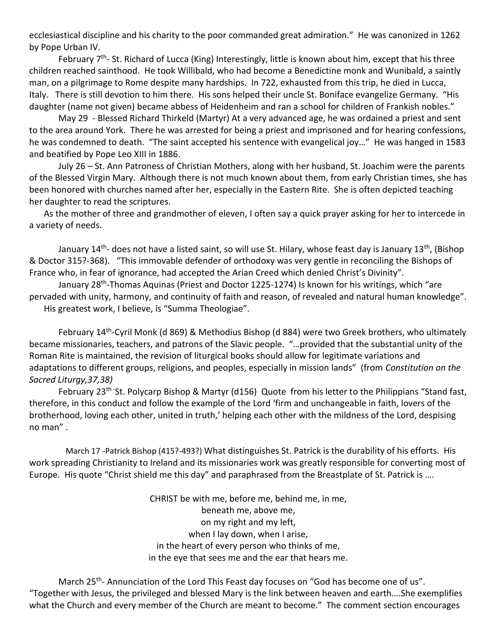ecclesiastical discipline and his charity to the poor commanded great admiration." He was canonized in 1262 by Pope Urban IV.

February 7<sup>th</sup>- St. Richard of Lucca (King) Interestingly, little is known about him, except that his three children reached sainthood. He took Willibald, who had become a Benedictine monk and Wunibald, a saintly man, on a pilgrimage to Rome despite many hardships. In 722, exhausted from this trip, he died in Lucca, Italy. There is still devotion to him there. His sons helped their uncle St. Boniface evangelize Germany. "His daughter (name not given) became abbess of Heidenheim and ran a school for children of Frankish nobles."

May 29 - Blessed Richard Thirkeld (Martyr) At a very advanced age, he was ordained a priest and sent to the area around York. There he was arrested for being a priest and imprisoned and for hearing confessions, he was condemned to death. "The saint accepted his sentence with evangelical joy…" He was hanged in 1583 and beatified by Pope Leo XIII in 1886.

July 26 – St. Ann Patroness of Christian Mothers, along with her husband, St. Joachim were the parents of the Blessed Virgin Mary. Although there is not much known about them, from early Christian times, she has been honored with churches named after her, especially in the Eastern Rite. She is often depicted teaching her daughter to read the scriptures.

As the mother of three and grandmother of eleven, I often say a quick prayer asking for her to intercede in a variety of needs.

January 14<sup>th</sup>- does not have a listed saint, so will use St. Hilary, whose feast day is January 13<sup>th</sup>, (Bishop & Doctor 315?-368). "This immovable defender of orthodoxy was very gentle in reconciling the Bishops of France who, in fear of ignorance, had accepted the Arian Creed which denied Christ's Divinity".

January 28<sup>th</sup>-Thomas Aquinas (Priest and Doctor 1225-1274) Is known for his writings, which "are pervaded with unity, harmony, and continuity of faith and reason, of revealed and natural human knowledge". His greatest work, I believe, is "Summa Theologiae".

February 14<sup>th</sup>-Cyril Monk (d 869) & Methodius Bishop (d 884) were two Greek brothers, who ultimately became missionaries, teachers, and patrons of the Slavic people. "…provided that the substantial unity of the Roman Rite is maintained, the revision of liturgical books should allow for legitimate variations and adaptations to different groups, religions, and peoples, especially in mission lands" (from *Constitution on the Sacred Liturgy,37,38)*

February 23<sup>th</sup> -St. Polycarp Bishop & Martyr (d156) Quote from his letter to the Philippians "Stand fast, therefore, in this conduct and follow the example of the Lord 'firm and unchangeable in faith, lovers of the brotherhood, loving each other, united in truth,' helping each other with the mildness of the Lord, despising no man" .

March 17 -Patrick Bishop (415?-493?) What distinguishes St. Patrick is the durability of his efforts. His work spreading Christianity to Ireland and its missionaries work was greatly responsible for converting most of Europe. His quote "Christ shield me this day" and paraphrased from the Breastplate of St. Patrick is ….

> CHRIST be with me, before me, behind me, in me, beneath me, above me, on my right and my left, when I lay down, when I arise, in the heart of every person who thinks of me, in the eye that sees me and the ear that hears me.

March 25<sup>th</sup>- Annunciation of the Lord This Feast day focuses on "God has become one of us". "Together with Jesus, the privileged and blessed Mary is the link between heaven and earth….She exemplifies what the Church and every member of the Church are meant to become." The comment section encourages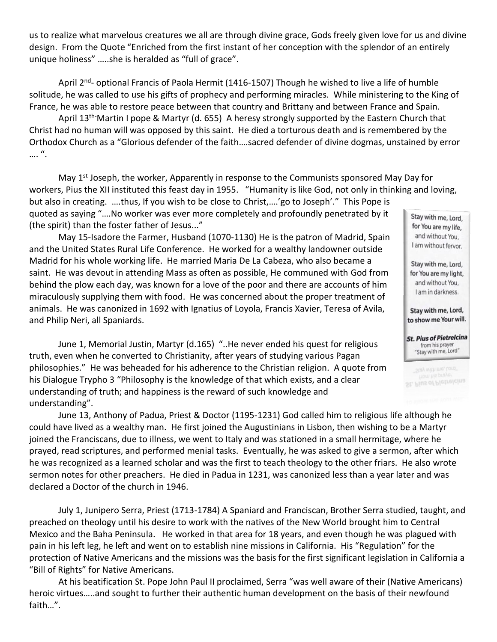us to realize what marvelous creatures we all are through divine grace, Gods freely given love for us and divine design. From the Quote "Enriched from the first instant of her conception with the splendor of an entirely unique holiness" …..she is heralded as "full of grace".

April 2<sup>nd</sup>- optional Francis of Paola Hermit (1416-1507) Though he wished to live a life of humble solitude, he was called to use his gifts of prophecy and performing miracles. While ministering to the King of France, he was able to restore peace between that country and Brittany and between France and Spain.

April 13<sup>th-</sup>Martin I pope & Martyr (d. 655) A heresy strongly supported by the Eastern Church that Christ had no human will was opposed by this saint. He died a torturous death and is remembered by the Orthodox Church as a "Glorious defender of the faith….sacred defender of divine dogmas, unstained by error …. ".

May 1<sup>st</sup> Joseph, the worker, Apparently in response to the Communists sponsored May Day for workers, Pius the XII instituted this feast day in 1955. "Humanity is like God, not only in thinking and loving,

but also in creating. ….thus, If you wish to be close to Christ,….'go to Joseph'." This Pope is quoted as saying "….No worker was ever more completely and profoundly penetrated by it (the spirit) than the foster father of Jesus..."

May 15-Isadore the Farmer, Husband (1070-1130) He is the patron of Madrid, Spain and the United States Rural Life Conference. He worked for a wealthy landowner outside Madrid for his whole working life. He married Maria De La Cabeza, who also became a saint. He was devout in attending Mass as often as possible, He communed with God from behind the plow each day, was known for a love of the poor and there are accounts of him miraculously supplying them with food. He was concerned about the proper treatment of animals. He was canonized in 1692 with Ignatius of Loyola, Francis Xavier, Teresa of Avila, and Philip Neri, all Spaniards.

June 1, Memorial Justin, Martyr (d.165) "..He never ended his quest for religious truth, even when he converted to Christianity, after years of studying various Pagan philosophies." He was beheaded for his adherence to the Christian religion. A quote from his Dialogue Trypho 3 "Philosophy is the knowledge of that which exists, and a clear understanding of truth; and happiness is the reward of such knowledge and understanding".

June 13, Anthony of Padua, Priest & Doctor (1195-1231) God called him to religious life although he could have lived as a wealthy man. He first joined the Augustinians in Lisbon, then wishing to be a Martyr joined the Franciscans, due to illness, we went to Italy and was stationed in a small hermitage, where he prayed, read scriptures, and performed menial tasks. Eventually, he was asked to give a sermon, after which he was recognized as a learned scholar and was the first to teach theology to the other friars. He also wrote sermon notes for other preachers. He died in Padua in 1231, was canonized less than a year later and was declared a Doctor of the church in 1946.

July 1, Junipero Serra, Priest (1713-1784) A Spaniard and Franciscan, Brother Serra studied, taught, and preached on theology until his desire to work with the natives of the New World brought him to Central Mexico and the Baha Peninsula. He worked in that area for 18 years, and even though he was plagued with pain in his left leg, he left and went on to establish nine missions in California. His "Regulation" for the protection of Native Americans and the missions was the basis for the first significant legislation in California a "Bill of Rights" for Native Americans.

At his beatification St. Pope John Paul II proclaimed, Serra "was well aware of their (Native Americans) heroic virtues…..and sought to further their authentic human development on the basis of their newfound faith…".

Stay with me, Lord, for You are my life, and without You, I am without fervor.

Stay with me, Lord, for You are my light, and without You, I am in darkness.

Stay with me, Lord, to show me Your will.

**St. Pius of Pietrelcina** from his prayer "Stay with me, Lord"

Stay with me, Lord" St. Plus of Pletrelcina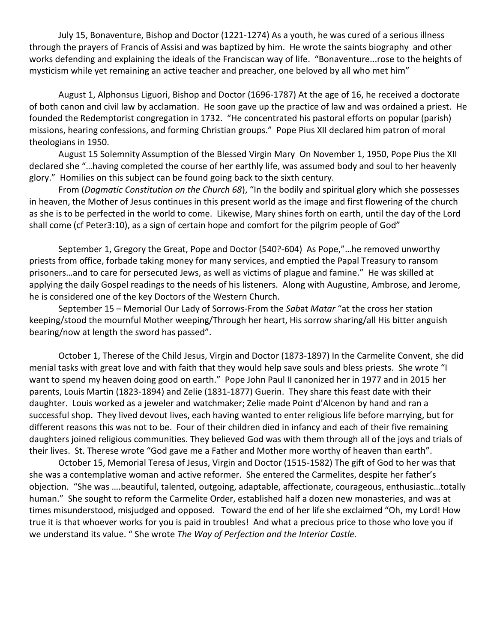July 15, Bonaventure, Bishop and Doctor (1221-1274) As a youth, he was cured of a serious illness through the prayers of Francis of Assisi and was baptized by him. He wrote the saints biography and other works defending and explaining the ideals of the Franciscan way of life. "Bonaventure...rose to the heights of mysticism while yet remaining an active teacher and preacher, one beloved by all who met him"

August 1, Alphonsus Liguori, Bishop and Doctor (1696-1787) At the age of 16, he received a doctorate of both canon and civil law by acclamation. He soon gave up the practice of law and was ordained a priest. He founded the Redemptorist congregation in 1732. "He concentrated his pastoral efforts on popular (parish) missions, hearing confessions, and forming Christian groups." Pope Pius XII declared him patron of moral theologians in 1950.

August 15 Solemnity Assumption of the Blessed Virgin Mary On November 1, 1950, Pope Pius the XII declared she "…having completed the course of her earthly life, was assumed body and soul to her heavenly glory." Homilies on this subject can be found going back to the sixth century.

From (*Dogmatic Constitution on the Church 68*), "In the bodily and spiritual glory which she possesses in heaven, the Mother of Jesus continues in this present world as the image and first flowering of the church as she is to be perfected in the world to come. Likewise, Mary shines forth on earth, until the day of the Lord shall come (cf Peter3:10), as a sign of certain hope and comfort for the pilgrim people of God"

September 1, Gregory the Great, Pope and Doctor (540?-604) As Pope,"…he removed unworthy priests from office, forbade taking money for many services, and emptied the Papal Treasury to ransom prisoners…and to care for persecuted Jews, as well as victims of plague and famine." He was skilled at applying the daily Gospel readings to the needs of his listeners. Along with Augustine, Ambrose, and Jerome, he is considered one of the key Doctors of the Western Church.

September 15 – Memorial Our Lady of Sorrows-From the *Sab*at *Matar* "at the cross her station keeping/stood the mournful Mother weeping/Through her heart, His sorrow sharing/all His bitter anguish bearing/now at length the sword has passed".

October 1, Therese of the Child Jesus, Virgin and Doctor (1873-1897) In the Carmelite Convent, she did menial tasks with great love and with faith that they would help save souls and bless priests. She wrote "I want to spend my heaven doing good on earth." Pope John Paul II canonized her in 1977 and in 2015 her parents, Louis Martin (1823-1894) and Zelie (1831-1877) Guerin. They share this feast date with their daughter. Louis worked as a jeweler and watchmaker; Zelie made Point d'Alcenon by hand and ran a successful shop. They lived devout lives, each having wanted to enter religious life before marrying, but for different reasons this was not to be. Four of their children died in infancy and each of their five remaining daughters joined religious communities. They believed God was with them through all of the joys and trials of their lives. St. Therese wrote "God gave me a Father and Mother more worthy of heaven than earth".

October 15, Memorial Teresa of Jesus, Virgin and Doctor (1515-1582) The gift of God to her was that she was a contemplative woman and active reformer. She entered the Carmelites, despite her father's objection. "She was ….beautiful, talented, outgoing, adaptable, affectionate, courageous, enthusiastic…totally human." She sought to reform the Carmelite Order, established half a dozen new monasteries, and was at times misunderstood, misjudged and opposed. Toward the end of her life she exclaimed "Oh, my Lord! How true it is that whoever works for you is paid in troubles! And what a precious price to those who love you if we understand its value. " She wrote *The Way of Perfection and the Interior Castle.*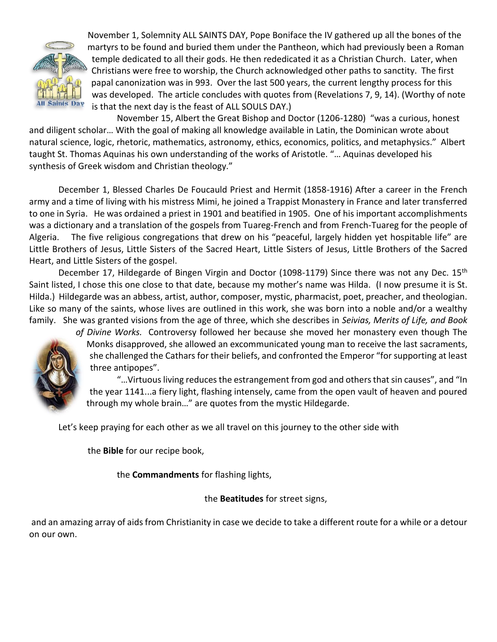

 November 1, Solemnity ALL SAINTS DAY, Pope Boniface the IV gathered up all the bones of the martyrs to be found and buried them under the Pantheon, which had previously been a Roman temple dedicated to all their gods. He then rededicated it as a Christian Church. Later, when Christians were free to worship, the Church acknowledged other paths to sanctity. The first papal canonization was in 993. Over the last 500 years, the current lengthy process for this was developed. The article concludes with quotes from (Revelations 7, 9, 14). (Worthy of note is that the next day is the feast of ALL SOULS DAY.)

November 15, Albert the Great Bishop and Doctor (1206-1280) "was a curious, honest and diligent scholar… With the goal of making all knowledge available in Latin, the Dominican wrote about natural science, logic, rhetoric, mathematics, astronomy, ethics, economics, politics, and metaphysics." Albert taught St. Thomas Aquinas his own understanding of the works of Aristotle. "… Aquinas developed his synthesis of Greek wisdom and Christian theology."

December 1, Blessed Charles De Foucauld Priest and Hermit (1858-1916) After a career in the French army and a time of living with his mistress Mimi, he joined a Trappist Monastery in France and later transferred to one in Syria. He was ordained a priest in 1901 and beatified in 1905. One of his important accomplishments was a dictionary and a translation of the gospels from Tuareg-French and from French-Tuareg for the people of Algeria. The five religious congregations that drew on his "peaceful, largely hidden yet hospitable life" are Little Brothers of Jesus, Little Sisters of the Sacred Heart, Little Sisters of Jesus, Little Brothers of the Sacred Heart, and Little Sisters of the gospel.

December 17, Hildegarde of Bingen Virgin and Doctor (1098-1179) Since there was not any Dec. 15<sup>th</sup> Saint listed, I chose this one close to that date, because my mother's name was Hilda. (I now presume it is St. Hilda.) Hildegarde was an abbess, artist, author, composer, mystic, pharmacist, poet, preacher, and theologian. Like so many of the saints, whose lives are outlined in this work, she was born into a noble and/or a wealthy family. She was granted visions from the age of three, which she describes in *Seivias, Merits of Life, and Book* 



*of Divine Works.* Controversy followed her because she moved her monastery even though The Monks disapproved, she allowed an excommunicated young man to receive the last sacraments, she challenged the Cathars for their beliefs, and confronted the Emperor "for supporting at least three antipopes".

"…Virtuous living reduces the estrangement from god and others that sin causes", and "In the year 1141...a fiery light, flashing intensely, came from the open vault of heaven and poured through my whole brain…" are quotes from the mystic Hildegarde.

Let's keep praying for each other as we all travel on this journey to the other side with

the **Bible** for our recipe book,

the **Commandments** for flashing lights,

the **Beatitudes** for street signs,

and an amazing array of aids from Christianity in case we decide to take a different route for a while or a detour on our own.